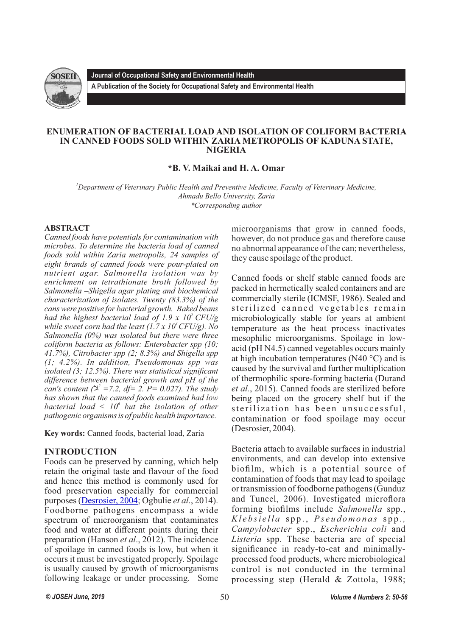

**Journal of Occupational Safety and Environmental Health**

**A Publication of the Society for Occupational Safety and Environmental Health** 

#### **ENUMERATION OF BACTERIAL LOAD AND ISOLATION OF COLIFORM BACTERIA IN CANNED FOODS SOLD WITHIN ZARIA METROPOLIS OF KADUNA STATE, NIGERIA**

# **\*B. V. Maikai and H. A. Omar**

*<sup>1</sup>Department of Veterinary Public Health and Preventive Medicine, Faculty of Veterinary Medicine, Ahmadu Bello University, Zaria \*Corresponding author*

### **ABSTRACT**

*Canned foods have potentials for contamination with microbes. To determine the bacteria load of canned foods sold within Zaria metropolis, 24 samples of eight brands of canned foods were pour-plated on nutrient agar. Salmonella isolation was by enrichment on tetrathionate broth followed by Salmonella –Shigella agar plating and biochemical characterization of isolates. Twenty (83.3%) of the cans were positive for bacterial growth. Baked beans had the highest bacterial load of 1.9 x 10<sup>* $\degree$ *</sup> CFU/g while sweet corn had the least*  $(1.7 \times 10^{3} CFU/g)$ *. No Salmonella (0%) was isolated but there were three coliform bacteria as follows: Enterobacter spp (10; 41.7%), Citrobacter spp (2; 8.3%) and Shigella spp (1; 4.2%). In addition, Pseudomonas spp was isolated (3; 12.5%). There was statistical significant difference between bacterial growth and pH of the can's content (* $\lambda^2 = 7.2$ , *df* = 2. *P* = 0.027). The study *has shown that the canned foods examined had low 6 bacterial load < 10 but the isolation of other pathogenic organisms is of public health importance.* 

**Key words:** Canned foods, bacterial load, Zaria

### **INTRODUCTION**

Foods can be preserved by canning, which help retain the original taste and flavour of the food and hence this method is commonly used for food preservation especially for commercial purposes [\(Desrosier, 2004](http://www.sciencedirect.com/science/article/pii/S0189724115301211); Ogbulie *et al*., 2014). Foodborne pathogens encompass a wide spectrum of microorganism that contaminates food and water at different points during their preparation (Hanson *et al*., 2012). The incidence of spoilage in canned foods is low, but when it occurs it must be investigated properly. Spoilage is usually caused by growth of microorganisms following leakage or under processing. Some

microorganisms that grow in canned foods, however, do not produce gas and therefore cause no abnormal appearance of the can; nevertheless, they cause spoilage of the product.

Canned foods or shelf stable canned foods are packed in hermetically sealed containers and are commercially sterile (ICMSF, 1986). Sealed and sterilized canned vegetables remain microbiologically stable for years at ambient temperature as the heat process inactivates mesophilic microorganisms. Spoilage in lowacid (pH N4.5) canned vegetables occurs mainly at high incubation temperatures (N40 °C) and is caused by the survival and further multiplication of thermophilic spore-forming bacteria (Durand *et al.*, 2015). Canned foods are sterilized before being placed on the grocery shelf but if the sterilization has been unsuccessful, contamination or food spoilage may occur (Desrosier, 2004).

Bacteria attach to available surfaces in industrial environments, and can develop into extensive biofilm, which is a potential source of contamination of foods that may lead to spoilage or transmission of foodborne pathogens (Gunduz and Tuncel, 2006). Investigated microflora forming biofilms include *Salmonella* spp., *Kl e b si e l l a* s p p . , *Ps e u d omo n a s* s p p . *, Campylobacter* spp., *Escherichia coli* and *Listeria* spp. These bacteria are of special significance in ready-to-eat and minimallyprocessed food products, where microbiological control is not conducted in the terminal processing step (Herald & Zottola, 1988;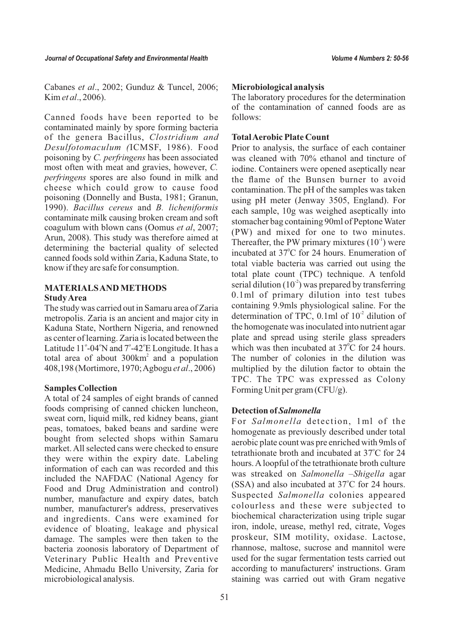Cabanes *et al*., 2002; Gunduz & Tuncel, 2006; Kim *et al*., 2006).

Canned foods have been reported to be contaminated mainly by spore forming bacteria of the genera Bacillus, *Clostridium and Desulfotomaculum (*ICMSF, 1986). Food poisoning by *C. perfringens* has been associated most often with meat and gravies, however, *C. perfringens* spores are also found in milk and cheese which could grow to cause food poisoning (Donnelly and Busta, 1981; Granun, 1990). *Bacillus cereus* and *B. licheniformis*  contaminate milk causing broken cream and soft coagulum with blown cans (Oomus *et al*, 2007; Arun, 2008). This study was therefore aimed at determining the bacterial quality of selected canned foods sold within Zaria, Kaduna State, to know if they are safe for consumption.

# **MATERIALS AND METHODS Study Area**

The study was carried out in Samaru area of Zaria metropolis. Zaria is an ancient and major city in Kaduna State, Northern Nigeria, and renowned as center of learning. Zaria is located between the Latitude 11°-04°N and 7°-42°E Longitude. It has a total area of about  $300 \text{km}^2$  and a population 408,198 (Mortimore, 1970; Agbogu *et al*., 2006)

### **Samples Collection**

A total of 24 samples of eight brands of canned foods comprising of canned chicken luncheon, sweat corn, liquid milk, red kidney beans, giant peas, tomatoes, baked beans and sardine were bought from selected shops within Samaru market. All selected cans were checked to ensure they were within the expiry date. Labeling information of each can was recorded and this included the NAFDAC (National Agency for Food and Drug Administration and control) number, manufacture and expiry dates, batch number, manufacturer's address, preservatives and ingredients. Cans were examined for evidence of bloating, leakage and physical damage. The samples were then taken to the bacteria zoonosis laboratory of Department of Veterinary Public Health and Preventive Medicine, Ahmadu Bello University, Zaria for microbiological analysis.

### **Microbiological analysis**

The laboratory procedures for the determination of the contamination of canned foods are as follows:

# **Total Aerobic Plate Count**

Prior to analysis, the surface of each container was cleaned with 70% ethanol and tincture of iodine. Containers were opened aseptically near the flame of the Bunsen burner to avoid contamination. The pH of the samples was taken using pH meter (Jenway 3505, England). For each sample, 10g was weighed aseptically into stomacher bag containing 90ml of Peptone Water (PW) and mixed for one to two minutes. Thereafter, the PW primary mixtures  $(10<sup>-1</sup>)$  were incubated at 37°C for 24 hours. Enumeration of total viable bacteria was carried out using the total plate count (TPC) technique. A tenfold serial dilution  $(10<sup>2</sup>)$  was prepared by transferring 0.1ml of primary dilution into test tubes containing 9.9mls physiological saline. For the determination of TPC,  $0.1$ ml of  $10<sup>2</sup>$  dilution of the homogenate was inoculated into nutrient agar plate and spread using sterile glass spreaders which was then incubated at  $37^{\circ}$ C for 24 hours. The number of colonies in the dilution was multiplied by the dilution factor to obtain the TPC. The TPC was expressed as Colony Forming Unit per gram (CFU/g).

### **Detection of** *Salmonella*

For *Salmonella* detection, 1ml of the homogenate as previously described under total aerobic plate count was pre enriched with 9mls of tetrathionate broth and incubated at 37°C for 24 hours. Aloopful of the tetrathionate broth culture was streaked on *Salmonella* –*Shigella* agar (SSA) and also incubated at 37°C for 24 hours. Suspected *Salmonella* colonies appeared colourless and these were subjected to biochemical characterization using triple sugar iron, indole, urease, methyl red, citrate, Voges proskeur, SIM motility, oxidase. Lactose, rhannose, maltose, sucrose and mannitol were used for the sugar fermentation tests carried out according to manufacturers' instructions. Gram staining was carried out with Gram negative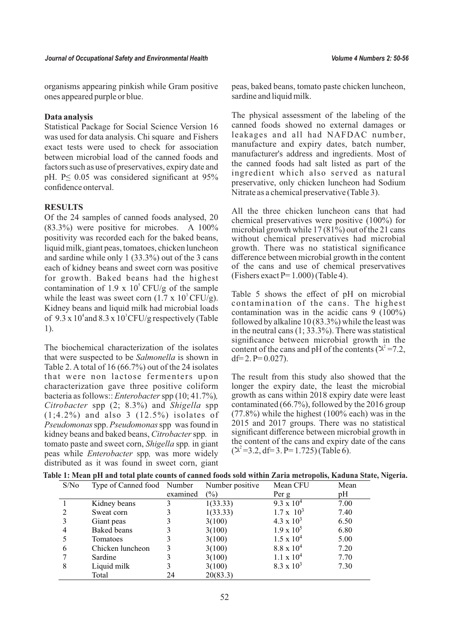organisms appearing pinkish while Gram positive ones appeared purple or blue.

#### **Data analysis**

Statistical Package for Social Science Version 16 was used for data analysis. Chi square and Fishers exact tests were used to check for association between microbial load of the canned foods and factors such as use of preservatives, expiry date and pH.  $P \le 0.05$  was considered significant at 95% confidence onterval.

#### **RESULTS**

Of the 24 samples of canned foods analysed, 20  $(83.3\%)$  were positive for microbes. A  $100\%$ positivity was recorded each for the baked beans, liquid milk, giant peas, tomatoes, chicken luncheon and sardine while only 1 (33.3%) out of the 3 cans each of kidney beans and sweet corn was positive for growth. Baked beans had the highest contamination of 1.9 x  $10^5$  CFU/g of the sample while the least was sweet corn  $(1.7 \times 10^3 \text{ CFU/g})$ . Kidney beans and liquid milk had microbial loads of  $9.3 \times 10^4$  and  $8.3 \times 10^3$  CFU/g respectively (Table 1).

The biochemical characterization of the isolates that were suspected to be *Salmonella* is shown in Table 2. A total of 16 (66.7%) out of the 24 isolates that were non lactose fermenters upon characterization gave three positive coliform bacteria as follows:: *Enterobacter* spp (10; 41.7%)*, Citrobacter* spp (2; 8.3%) and *Shigella* spp  $(1;4.2\%)$  and also 3  $(12.5\%)$  isolates of *Pseudomonas* spp. *Pseudomonas* spp was found in kidney beans and baked beans, *Citrobacter*spp*.* in tomato paste and sweet corn, *Shigella* spp*.* in giant peas while *Enterobacter* spp*,* was more widely distributed as it was found in sweet corn, giant

peas, baked beans, tomato paste chicken luncheon, sardine and liquid milk.

The physical assessment of the labeling of the canned foods showed no external damages or leakages and all had NAFDAC number, manufacture and expiry dates, batch number, manufacturer's address and ingredients. Most of the canned foods had salt listed as part of the ingredient which also served as natural preservative, only chicken luncheon had Sodium Nitrate as a chemical preservative (Table 3).

All the three chicken luncheon cans that had chemical preservatives were positive (100%) for microbial growth while  $17(81\%)$  out of the 21 cans without chemical preservatives had microbial growth. There was no statistical significance difference between microbial growth in the content of the cans and use of chemical preservatives (Fishers exact  $P= 1.000$ ) (Table 4).

Table 5 shows the effect of pH on microbial contamination of the cans. The highest contamination was in the acidic cans  $9(100\%)$ followed by alkaline 10 (83.3%) while the least was in the neutral cans (1; 33.3%). There was statistical significance between microbial growth in the content of the cans and pH of the contents ( $\chi^2$ =7.2, df= 2.  $P= 0.027$ ).

The result from this study also showed that the longer the expiry date, the least the microbial growth as cans within 2018 expiry date were least contaminated (66.7%), followed by the 2016 group  $(77.8\%)$  while the highest  $(100\%$  each) was in the 2015 and 2017 groups. There was no statistical significant difference between microbial growth in the content of the cans and expiry date of the cans  $(\lambda^2=3.2, df=3. P=1.725)$  (Table 6).

|  |  | Table 1: Mean pH and total plate counts of canned foods sold within Zaria metropolis, Kaduna State, Nigeria. |  |  |
|--|--|--------------------------------------------------------------------------------------------------------------|--|--|
|--|--|--------------------------------------------------------------------------------------------------------------|--|--|

| S/No | Type of Canned food Number |          | Number positive | Mean CFU            | Mean |
|------|----------------------------|----------|-----------------|---------------------|------|
|      |                            | examined | $(\%)$          | Per g               | pH   |
|      | Kidney beans               |          | 1(33.33)        | $9.3 \times 10^{4}$ | 7.00 |
|      | Sweat corn                 |          | 1(33.33)        | $1.7 \times 10^3$   | 7.40 |
| 3    | Giant peas                 | 3        | 3(100)          | $4.3 \times 10^3$   | 6.50 |
| 4    | Baked beans                | 3        | 3(100)          | $1.9 \times 10^5$   | 6.80 |
|      | Tomatoes                   |          | 3(100)          | $1.5 \times 10^{4}$ | 5.00 |
| 6    | Chicken luncheon           | 3        | 3(100)          | $8.8 \times 10^{4}$ | 7.20 |
|      | Sardine                    | 3        | 3(100)          | $1.1 \times 10^4$   | 7.70 |
| 8    | Liquid milk                | 3        | 3(100)          | $8.3 \times 10^3$   | 7.30 |
|      | Total                      | 24       | 20(83.3)        |                     |      |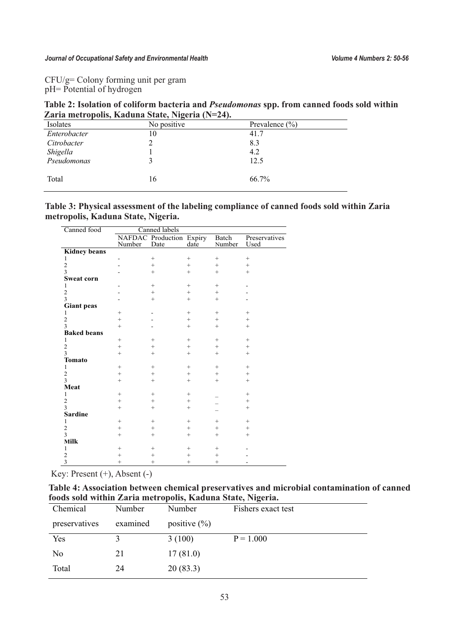CFU/g= Colony forming unit per gram pH= Potential of hydrogen

**Table 2: Isolation of coliform bacteria and** *Pseudomonas* **spp. from canned foods sold within Zaria metropolis, Kaduna State, Nigeria (N=24).**

| Isolates     | No positive | Prevalence $(\% )$ |  |
|--------------|-------------|--------------------|--|
| Enterobacter | 10          | 41.7               |  |
| Citrobacter  |             | 8.3                |  |
| Shigella     |             | 4.2                |  |
| Pseudomonas  |             | 12.5               |  |
| Total        | 16          | 66.7%              |  |
|              |             |                    |  |
|              |             |                    |  |

**Table 3: Physical assessment of the labeling compliance of canned foods sold within Zaria metropolis, Kaduna State, Nigeria.**

| Canned food         | Canned labels |                                        |        |        |                       |
|---------------------|---------------|----------------------------------------|--------|--------|-----------------------|
|                     | Number        | NAFDAC Production Expiry Batch<br>Date | date   | Number | Preservatives<br>Used |
| <b>Kidney beans</b> |               |                                        |        |        |                       |
| 1                   |               | $^{+}$                                 | $^{+}$ | $^{+}$ | $^{+}$                |
| $\overline{2}$      |               | $^{+}$                                 | $^{+}$ | $^{+}$ | $^{+}$                |
| 3                   |               | $^{+}$                                 | $^{+}$ | $^{+}$ | $^{+}$                |
| <b>Sweat corn</b>   |               |                                        |        |        |                       |
| 1                   |               | $^{+}$                                 | $^{+}$ | $^{+}$ |                       |
| $\overline{c}$      |               | $^{+}$                                 | $^{+}$ | $^{+}$ |                       |
| $\overline{3}$      |               | $^{+}$                                 | $^{+}$ | $^{+}$ |                       |
| <b>Giant peas</b>   |               |                                        |        |        |                       |
| 1                   | $^{+}$        |                                        | $^{+}$ | $^{+}$ | $^{+}$                |
| $\overline{c}$      | $^{+}$        |                                        | $^{+}$ | $^{+}$ | $^{+}$                |
| 3                   | $^{+}$        |                                        | $^{+}$ | $^{+}$ | $^{+}$                |
| <b>Baked beans</b>  |               |                                        |        |        |                       |
| 1                   | $^{+}$        | $^{+}$                                 | $^{+}$ | $^{+}$ | $^{+}$                |
| $\overline{c}$      | $^{+}$        | $^{+}$                                 | $^{+}$ | $^{+}$ | $^{+}$                |
| 3                   | $^{+}$        | $^{+}$                                 | $^{+}$ | $^{+}$ | $^{+}$                |
| <b>Tomato</b>       |               |                                        |        |        |                       |
| $\mathbf{1}$        | $^{+}$        | $^{+}$                                 | $^{+}$ | $^{+}$ | $^{+}$                |
| $\overline{c}$      | $^{+}$        | $^{+}$                                 | $^{+}$ | $^{+}$ | $^{+}$                |
| 3                   | $^{+}$        | $^{+}$                                 | $^{+}$ | $^{+}$ | $^{+}$                |
| Meat                |               |                                        |        |        |                       |
| 1                   | $^{+}$        | $^{+}$                                 | $^{+}$ |        | $^{+}$                |
| $\overline{c}$      | $^{+}$        | $^{+}$                                 | $^{+}$ |        | $^{+}$                |
| 3                   | $^{+}$        | $^{+}$                                 | $^{+}$ |        | $^{+}$                |
| <b>Sardine</b>      |               |                                        |        |        |                       |
| 1                   | $^{+}$        | $^{+}$                                 | $^{+}$ | $^{+}$ | $+$                   |
| $\overline{c}$      | $^{+}$        | $^{+}$                                 | $^{+}$ | $^{+}$ | $^{+}$                |
| 3                   | $^{+}$        | $^{+}$                                 | $^{+}$ | $^{+}$ | $^{+}$                |
| Milk                |               |                                        |        |        |                       |
| $\mathbf{1}$        | $^{+}$        | $^{+}$                                 | $^{+}$ | $^{+}$ |                       |
| $\overline{c}$      | $^{+}$        | $^{+}$                                 | $^{+}$ | $^{+}$ |                       |
| 3                   | $^{+}$        | $^{+}$                                 | $^{+}$ | $^{+}$ |                       |

Key: Present (+), Absent (-)

**Table 4: Association between chemical preservatives and microbial contamination of canned foods sold within Zaria metropolis, Kaduna State, Nigeria.**

| Chemical      | Number   | Number           | Fishers exact test |
|---------------|----------|------------------|--------------------|
| preservatives | examined | positive $(\% )$ |                    |
| Yes           | 3        | 3(100)           | $P = 1.000$        |
| No            | 21       | 17(81.0)         |                    |
| Total         | 24       | 20(83.3)         |                    |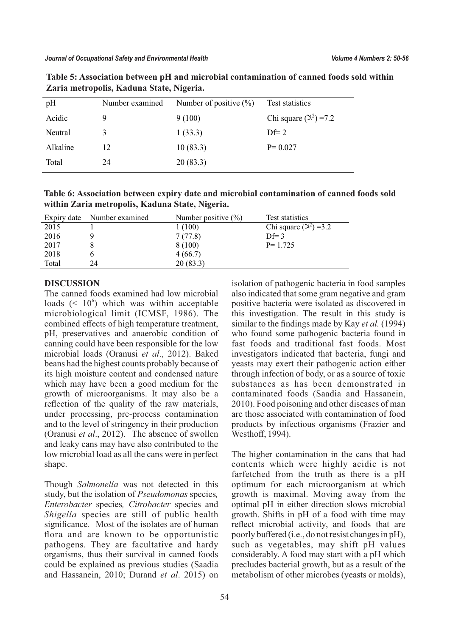| pH       | Number examined | Number of positive $(\% )$ | Test statistics               |
|----------|-----------------|----------------------------|-------------------------------|
| Acidic   | Ч               | 9(100)                     | Chi square $(\lambda^2)$ =7.2 |
| Neutral  |                 | 1(33.3)                    | $\mathbf{D} \mathbf{f} = 2$   |
| Alkaline | 12              | 10(83.3)                   | $P = 0.027$                   |
| Total    | 24              | 20(83.3)                   |                               |

**Table 5: Association between pH and microbial contamination of canned foods sold within Zaria metropolis, Kaduna State, Nigeria.**

**Table 6: Association between expiry date and microbial contamination of canned foods sold within Zaria metropolis, Kaduna State, Nigeria.**

| Expiry date | Number examined | Number positive $(\% )$ | Test statistics                  |
|-------------|-----------------|-------------------------|----------------------------------|
| 2015        |                 | 1(100)                  | Chi square $(\mathbb{R}^2)$ =3.2 |
| 2016        |                 | 7(77.8)                 | $Df=3$                           |
| 2017        |                 | 8 (100)                 | $P = 1.725$                      |
| 2018        |                 | 4(66.7)                 |                                  |
| Total       | 24              | 20(83.3)                |                                  |

#### **DISCUSSION**

The canned foods examined had low microbial loads  $(10^6)$  which was within acceptable microbiological limit (ICMSF, 1986). The combined effects of high temperature treatment, pH, preservatives and anaerobic condition of canning could have been responsible for the low microbial loads (Oranusi *et al*., 2012). Baked beans had the highest counts probably because of its high moisture content and condensed nature which may have been a good medium for the growth of microorganisms. It may also be a reflection of the quality of the raw materials, under processing, pre-process contamination and to the level of stringency in their production (Oranusi *et al*., 2012). The absence of swollen and leaky cans may have also contributed to the low microbial load as all the cans were in perfect shape.

Though *Salmonella* was not detected in this study, but the isolation of *Pseudomonas* species*, Enterobacter* species*, Citrobacter* species and *Shigella* species are still of public health significance. Most of the isolates are of human flora and are known to be opportunistic pathogens. They are facultative and hardy organisms, thus their survival in canned foods could be explained as previous studies (Saadia and Hassanein, 2010; Durand *et al*. 2015) on isolation of pathogenic bacteria in food samples also indicated that some gram negative and gram positive bacteria were isolated as discovered in this investigation. The result in this study is similar to the findings made by Kay *et al.* (1994) who found some pathogenic bacteria found in fast foods and traditional fast foods. Most investigators indicated that bacteria, fungi and yeasts may exert their pathogenic action either through infection of body, or as a source of toxic substances as has been demonstrated in contaminated foods (Saadia and Hassanein, 2010). Food poisoning and other diseases of man are those associated with contamination of food products by infectious organisms (Frazier and Westhoff, 1994).

The higher contamination in the cans that had contents which were highly acidic is not farfetched from the truth as there is a pH optimum for each microorganism at which growth is maximal. Moving away from the optimal pH in either direction slows microbial growth. Shifts in pH of a food with time may reflect microbial activity, and foods that are poorly buffered (i.e., do not resist changes in pH), such as vegetables, may shift pH values considerably. A food may start with a pH which precludes bacterial growth, but as a result of the metabolism of other microbes (yeasts or molds),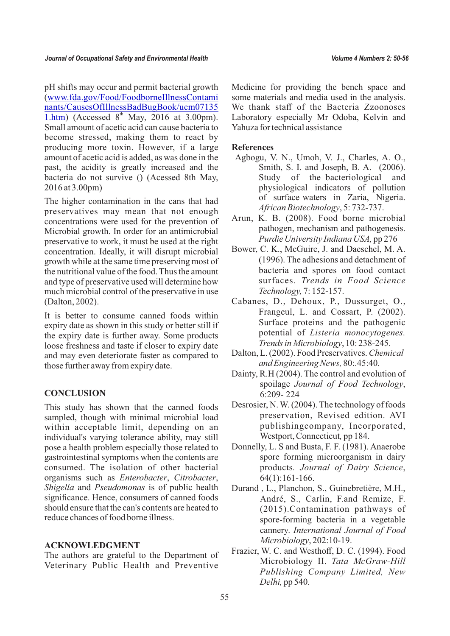pH shifts may occur and permit bacterial growth [\(www.fda.gov/Food/FoodborneIllnessContami](http://www.fda.gov/Food/FoodborneIllnessContaminants/CausesOfIllnessBadBugBook/ucm071351.htm) [nants/CausesOfIllnessBadBugBook/ucm07135](http://www.fda.gov/Food/FoodborneIllnessContaminants/CausesOfIllnessBadBugBook/ucm071351.htm) [1.htm](http://www.fda.gov/Food/FoodborneIllnessContaminants/CausesOfIllnessBadBugBook/ucm071351.htm)) (Accessed  $8<sup>th</sup>$  May, 2016 at 3.00pm). Small amount of acetic acid can cause bacteria to become stressed, making them to react by producing more toxin. However, if a large amount of acetic acid is added, as was done in the past, the acidity is greatly increased and the bacteria do not survive () (Acessed 8th May, 2016 at 3.00pm)

The higher contamination in the cans that had preservatives may mean that not enough concentrations were used for the prevention of Microbial growth. In order for an antimicrobial preservative to work, it must be used at the right concentration. Ideally, it will disrupt microbial growth while at the same time preserving most of the nutritional value of the food. Thus the amount and type of preservative used will determine how much microbial control of the preservative in use (Dalton, 2002).

It is better to consume canned foods within expiry date as shown in this study or better still if the expiry date is further away. Some products loose freshness and taste if closer to expiry date and may even deteriorate faster as compared to those further away from expiry date.

# **CONCLUSION**

This study has shown that the canned foods sampled, though with minimal microbial load within acceptable limit, depending on an individual's varying tolerance ability, may still pose a health problem especially those related to gastrointestinal symptoms when the contents are consumed. The isolation of other bacterial organisms such as *Enterobacter*, *Citrobacter*, *Shigella* and *Pseudomonas* is of public health significance. Hence, consumers of canned foods should ensure that the can's contents are heated to reduce chances of food borne illness.

#### **ACKNOWLEDGMENT**

The authors are grateful to the Department of Veterinary Public Health and Preventive

Medicine for providing the bench space and some materials and media used in the analysis. We thank staff of the Bacteria Zzoonoses Laboratory especially Mr Odoba, Kelvin and Yahuza for technical assistance

#### **References**

- Agbogu, V. N., Umoh, V. J., Charles, A. O., Smith, S. I. and Joseph, B. A. (2006). Study of the bacteriological and physiological indicators of pollution of surface waters in Zaria, Nigeria. *African Biotechnology*, 5: 732-737.
- Arun, K. B. (2008). Food borne microbial pathogen, mechanism and pathogenesis. *Purdie University Indiana USA,* pp 276
- Bower, C. K., McGuire, J. and Daeschel, M. A. (1996). The adhesions and detachment of bacteria and spores on food contact surfaces. *Trends in Food Science Technology,* 7: 152-157.
- Cabanes, D., Dehoux, P., Dussurget, O., Frangeul, L. and Cossart, P. (2002). Surface proteins and the pathogenic potential of *Listeria monocytogenes. Trends in Microbiology*, 10: 238-245.
- Dalton, L. (2002). Food Preservatives. *Chemical and Engineering News,* 80:.45:40.
- Dainty, R.H (2004). The control and evolution of spoilage *Journal of Food Technology*, 6:209- 224
- Desrosier, N. W. (2004). The technology of foods preservation, Revised edition. AVI publishingcompany, Incorporated, Westport, Connecticut*,* pp 184.
- Donnelly, L. S and Busta, F. F. (1981). Anaerobe spore forming microorganism in dairy products*. Journal of Dairy Science*, 64(1):161-166.
- Durand , L., Planchon, S., Guinebretière, M.H., André, S., Carlin, F.and Remize, F. (2015).Contamination pathways of spore-forming bacteria in a vegetable cannery. *International Journal of Food Microbiology*, 202:10-19.
- Frazier, W. C. and Westhoff, D. C. (1994). Food Microbiology II. *Tata McGraw-Hill Publishing Company Limited, New Delhi,* pp 540.